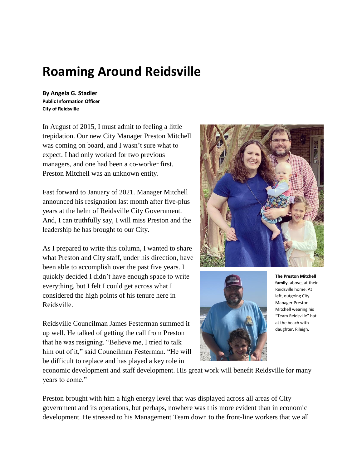## **Roaming Around Reidsville**

**By Angela G. Stadler Public Information Officer City of Reidsville**

In August of 2015, I must admit to feeling a little trepidation. Our new City Manager Preston Mitchell was coming on board, and I wasn't sure what to expect. I had only worked for two previous managers, and one had been a co-worker first. Preston Mitchell was an unknown entity.

Fast forward to January of 2021. Manager Mitchell announced his resignation last month after five-plus years at the helm of Reidsville City Government. And, I can truthfully say, I will miss Preston and the leadership he has brought to our City.

As I prepared to write this column, I wanted to share what Preston and City staff, under his direction, have been able to accomplish over the past five years. I quickly decided I didn't have enough space to write everything, but I felt I could get across what I considered the high points of his tenure here in Reidsville.

Reidsville Councilman James Festerman summed it up well. He talked of getting the call from Preston that he was resigning. "Believe me, I tried to talk him out of it," said Councilman Festerman. "He will be difficult to replace and has played a key role in





**The Preston Mitchell family**, above, at their Reidsville home. At left, outgoing City Manager Preston Mitchell wearing his "Team Reidsville" hat at the beach with daughter, Rileigh.

economic development and staff development. His great work will benefit Reidsville for many years to come."

Preston brought with him a high energy level that was displayed across all areas of City government and its operations, but perhaps, nowhere was this more evident than in economic development. He stressed to his Management Team down to the front-line workers that we all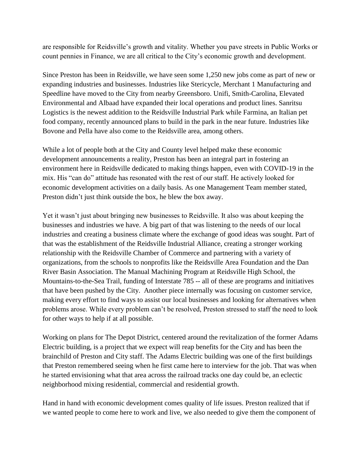are responsible for Reidsville's growth and vitality. Whether you pave streets in Public Works or count pennies in Finance, we are all critical to the City's economic growth and development.

Since Preston has been in Reidsville, we have seen some 1,250 new jobs come as part of new or expanding industries and businesses. Industries like Stericycle, Merchant 1 Manufacturing and Speedline have moved to the City from nearby Greensboro. Unifi, Smith-Carolina, Elevated Environmental and Albaad have expanded their local operations and product lines. Sanritsu Logistics is the newest addition to the Reidsville Industrial Park while Farmina, an Italian pet food company, recently announced plans to build in the park in the near future. Industries like Bovone and Pella have also come to the Reidsville area, among others.

While a lot of people both at the City and County level helped make these economic development announcements a reality, Preston has been an integral part in fostering an environment here in Reidsville dedicated to making things happen, even with COVID-19 in the mix. His "can do" attitude has resonated with the rest of our staff. He actively looked for economic development activities on a daily basis. As one Management Team member stated, Preston didn't just think outside the box, he blew the box away.

Yet it wasn't just about bringing new businesses to Reidsville. It also was about keeping the businesses and industries we have. A big part of that was listening to the needs of our local industries and creating a business climate where the exchange of good ideas was sought. Part of that was the establishment of the Reidsville Industrial Alliance, creating a stronger working relationship with the Reidsville Chamber of Commerce and partnering with a variety of organizations, from the schools to nonprofits like the Reidsville Area Foundation and the Dan River Basin Association. The Manual Machining Program at Reidsville High School, the Mountains-to-the-Sea Trail, funding of Interstate 785 -- all of these are programs and initiatives that have been pushed by the City. Another piece internally was focusing on customer service, making every effort to find ways to assist our local businesses and looking for alternatives when problems arose. While every problem can't be resolved, Preston stressed to staff the need to look for other ways to help if at all possible.

Working on plans for The Depot District, centered around the revitalization of the former Adams Electric building, is a project that we expect will reap benefits for the City and has been the brainchild of Preston and City staff. The Adams Electric building was one of the first buildings that Preston remembered seeing when he first came here to interview for the job. That was when he started envisioning what that area across the railroad tracks one day could be, an eclectic neighborhood mixing residential, commercial and residential growth.

Hand in hand with economic development comes quality of life issues. Preston realized that if we wanted people to come here to work and live, we also needed to give them the component of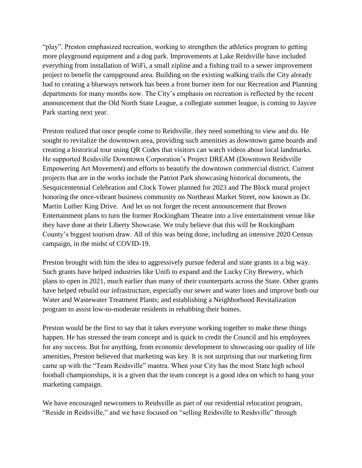"play". Preston emphasized recreation, working to strengthen the athletics program to getting more playground equipment and a dog park. Improvements at Lake Reidsville have included everything from installation of WiFi, a small zipline and a fishing trail to a sewer improvement project to benefit the campground area. Building on the existing walking trails the City already had to creating a blueways network has been a front burner item for our Recreation and Planning departments for many months now. The City's emphasis on recreation is reflected by the recent announcement that the Old North State League, a collegiate summer league, is coming to Jaycee Park starting next year.

Preston realized that once people come to Reidsville, they need something to view and do. He sought to revitalize the downtown area, providing such amenities as downtown game boards and creating a historical tour using QR Codes that visitors can watch videos about local landmarks. He supported Reidsville Downtown Corporation's Project DREAM (Downtown Reidsville Empowering Art Movement) and efforts to beautify the downtown commercial district. Current projects that are in the works include the Patriot Park showcasing historical documents, the Sesquicentennial Celebration and Clock Tower planned for 2023 and The Block mural project honoring the once-vibrant business community on Northeast Market Street, now known as Dr. Martin Luther King Drive. And let us not forget the recent announcement that Brown Entertainment plans to turn the former Rockingham Theatre into a live entertainment venue like they have done at their Liberty Showcase. We truly believe that this will be Rockingham County's biggest tourism draw. All of this was being done, including an intensive 2020 Census campaign, in the midst of COVID-19.

Preston brought with him the idea to aggressively pursue federal and state grants in a big way. Such grants have helped industries like Unifi to expand and the Lucky City Brewery, which plans to open in 2021, much earlier than many of their counterparts across the State. Other grants have helped rebuild our infrastructure, especially our sewer and water lines and improve both our Water and Wastewater Treatment Plants; and establishing a Neighborhood Revitalization program to assist low-to-moderate residents in rehabbing their homes.

Preston would be the first to say that it takes everyone working together to make these things happen. He has stressed the team concept and is quick to credit the Council and his employees for any success. But for anything, from economic development to showcasing our quality of life amenities, Preston believed that marketing was key. It is not surprising that our marketing firm came up with the "Team Reidsville" mantra. When your City has the most State high school football championships, it is a given that the team concept is a good idea on which to hang your marketing campaign.

We have encouraged newcomers to Reidsville as part of our residential relocation program, "Reside in Reidsville," and we have focused on "selling Reidsville to Reidsville" through